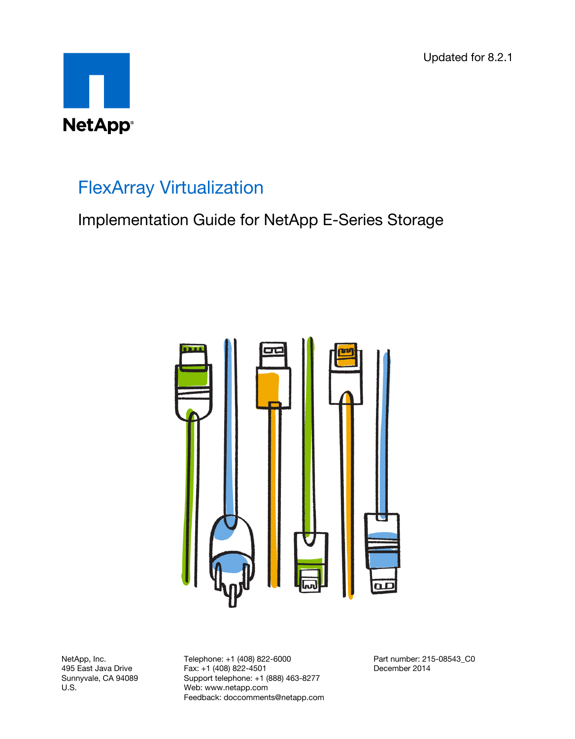Updated for 8.2.1



# FlexArray Virtualization

Implementation Guide for NetApp E-Series Storage



NetApp, Inc. 495 East Java Drive Sunnyvale, CA 94089 U.S.

Telephone: +1 (408) 822-6000 Fax: +1 (408) 822-4501 Support telephone: +1 (888) 463-8277 Web: www.netapp.com Feedback: doccomments@netapp.com Part number: 215-08543\_C0 December 2014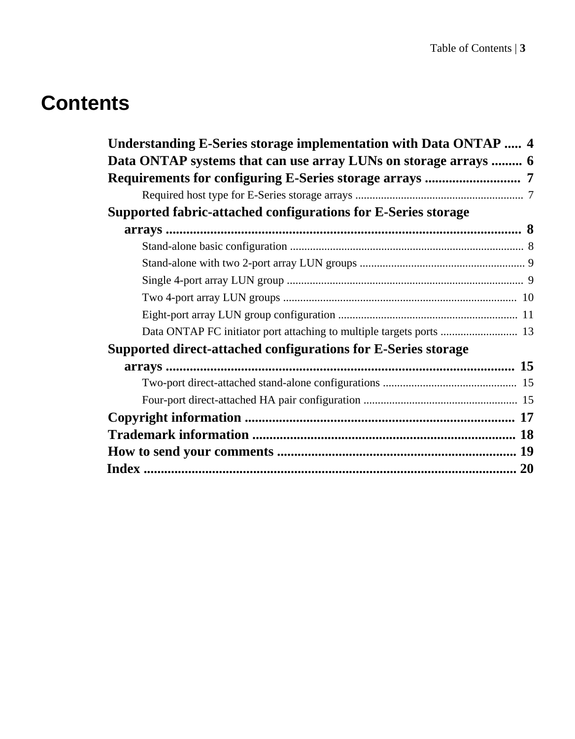# **Contents**

| Understanding E-Series storage implementation with Data ONTAP  4     |  |
|----------------------------------------------------------------------|--|
| Data ONTAP systems that can use array LUNs on storage arrays  6      |  |
|                                                                      |  |
|                                                                      |  |
| Supported fabric-attached configurations for E-Series storage        |  |
|                                                                      |  |
|                                                                      |  |
|                                                                      |  |
|                                                                      |  |
|                                                                      |  |
|                                                                      |  |
| Data ONTAP FC initiator port attaching to multiple targets ports  13 |  |
| Supported direct-attached configurations for E-Series storage        |  |
|                                                                      |  |
|                                                                      |  |
|                                                                      |  |
|                                                                      |  |
|                                                                      |  |
|                                                                      |  |
|                                                                      |  |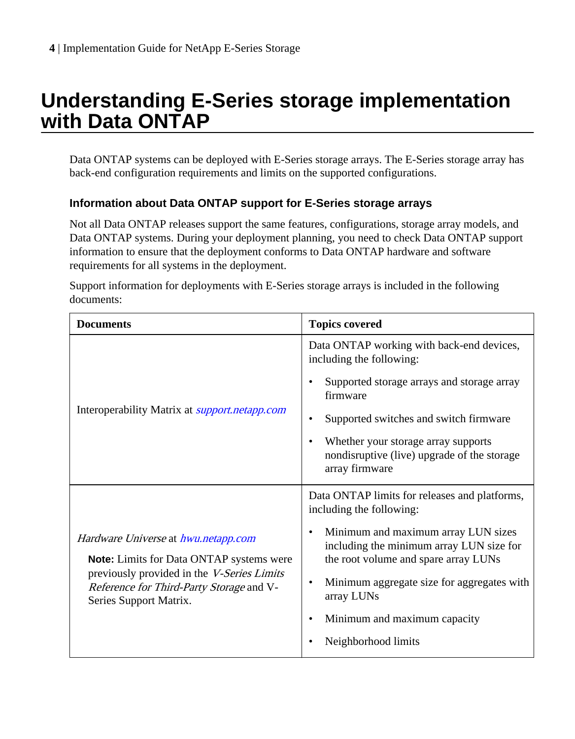# <span id="page-3-0"></span>**Understanding E-Series storage implementation with Data ONTAP**

Data ONTAP systems can be deployed with E-Series storage arrays. The E-Series storage array has back-end configuration requirements and limits on the supported configurations.

#### **Information about Data ONTAP support for E-Series storage arrays**

Not all Data ONTAP releases support the same features, configurations, storage array models, and Data ONTAP systems. During your deployment planning, you need to check Data ONTAP support information to ensure that the deployment conforms to Data ONTAP hardware and software requirements for all systems in the deployment.

Support information for deployments with E-Series storage arrays is included in the following documents:

| <b>Documents</b>                                                                                                                                                                                    | <b>Topics covered</b>                                                                                                                                                                         |
|-----------------------------------------------------------------------------------------------------------------------------------------------------------------------------------------------------|-----------------------------------------------------------------------------------------------------------------------------------------------------------------------------------------------|
| Interoperability Matrix at <i>support.netapp.com</i>                                                                                                                                                | Data ONTAP working with back-end devices,<br>including the following:                                                                                                                         |
|                                                                                                                                                                                                     | Supported storage arrays and storage array<br>firmware                                                                                                                                        |
|                                                                                                                                                                                                     | Supported switches and switch firmware                                                                                                                                                        |
|                                                                                                                                                                                                     | Whether your storage array supports<br>nondisruptive (live) upgrade of the storage<br>array firmware                                                                                          |
| Hardware Universe at hwu.netapp.com<br>Note: Limits for Data ONTAP systems were<br>previously provided in the V-Series Limits<br>Reference for Third-Party Storage and V-<br>Series Support Matrix. | Data ONTAP limits for releases and platforms,<br>including the following:                                                                                                                     |
|                                                                                                                                                                                                     | Minimum and maximum array LUN sizes<br>٠<br>including the minimum array LUN size for<br>the root volume and spare array LUNs<br>Minimum aggregate size for aggregates with<br>٠<br>array LUNs |
|                                                                                                                                                                                                     | Minimum and maximum capacity                                                                                                                                                                  |
|                                                                                                                                                                                                     | Neighborhood limits                                                                                                                                                                           |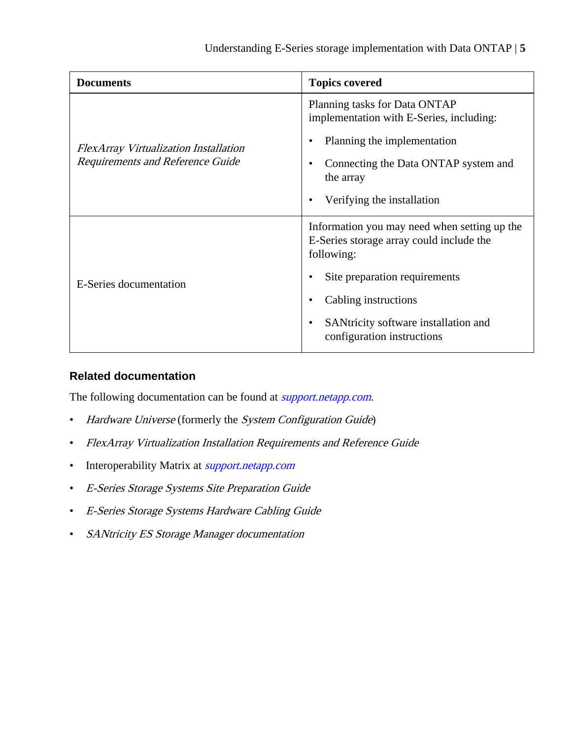| <b>Documents</b>                                                          | <b>Topics covered</b>                                                                                  |
|---------------------------------------------------------------------------|--------------------------------------------------------------------------------------------------------|
| FlexArray Virtualization Installation<br>Requirements and Reference Guide | Planning tasks for Data ONTAP<br>implementation with E-Series, including:                              |
|                                                                           | Planning the implementation                                                                            |
|                                                                           | Connecting the Data ONTAP system and<br>the array                                                      |
|                                                                           | Verifying the installation                                                                             |
| E-Series documentation                                                    | Information you may need when setting up the<br>E-Series storage array could include the<br>following: |
|                                                                           | Site preparation requirements                                                                          |
|                                                                           | Cabling instructions                                                                                   |
|                                                                           | SANtricity software installation and<br>configuration instructions                                     |

#### **Related documentation**

The following documentation can be found at *[support.netapp.com](http://support.netapp.com/)*.

- Hardware Universe (formerly the System Configuration Guide)
- FlexArray Virtualization Installation Requirements and Reference Guide
- Interoperability Matrix at *[support.netapp.com](http://support.netapp.com)*
- E-Series Storage Systems Site Preparation Guide
- E-Series Storage Systems Hardware Cabling Guide
- SANtricity ES Storage Manager documentation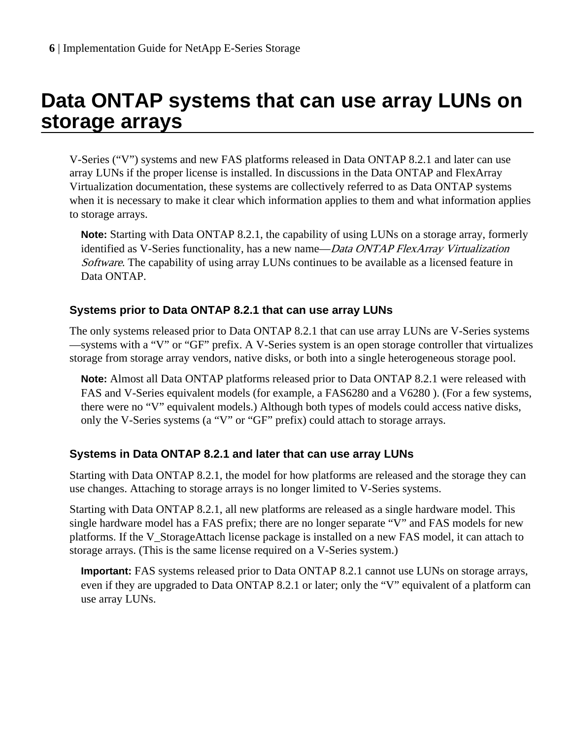# <span id="page-5-0"></span>**Data ONTAP systems that can use array LUNs on storage arrays**

V-Series ("V") systems and new FAS platforms released in Data ONTAP 8.2.1 and later can use array LUNs if the proper license is installed. In discussions in the Data ONTAP and FlexArray Virtualization documentation, these systems are collectively referred to as Data ONTAP systems when it is necessary to make it clear which information applies to them and what information applies to storage arrays.

**Note:** Starting with Data ONTAP 8.2.1, the capability of using LUNs on a storage array, formerly identified as V-Series functionality, has a new name—*Data ONTAP FlexArray Virtualization* Software. The capability of using array LUNs continues to be available as a licensed feature in Data ONTAP.

#### **Systems prior to Data ONTAP 8.2.1 that can use array LUNs**

The only systems released prior to Data ONTAP 8.2.1 that can use array LUNs are V-Series systems —systems with a "V" or "GF" prefix. A V-Series system is an open storage controller that virtualizes storage from storage array vendors, native disks, or both into a single heterogeneous storage pool.

**Note:** Almost all Data ONTAP platforms released prior to Data ONTAP 8.2.1 were released with FAS and V-Series equivalent models (for example, a FAS6280 and a V6280 ). (For a few systems, there were no "V" equivalent models.) Although both types of models could access native disks, only the V-Series systems (a "V" or "GF" prefix) could attach to storage arrays.

#### **Systems in Data ONTAP 8.2.1 and later that can use array LUNs**

Starting with Data ONTAP 8.2.1, the model for how platforms are released and the storage they can use changes. Attaching to storage arrays is no longer limited to V-Series systems.

Starting with Data ONTAP 8.2.1, all new platforms are released as a single hardware model. This single hardware model has a FAS prefix; there are no longer separate "V" and FAS models for new platforms. If the V\_StorageAttach license package is installed on a new FAS model, it can attach to storage arrays. (This is the same license required on a V-Series system.)

**Important:** FAS systems released prior to Data ONTAP 8.2.1 cannot use LUNs on storage arrays, even if they are upgraded to Data ONTAP 8.2.1 or later; only the "V" equivalent of a platform can use array LUNs.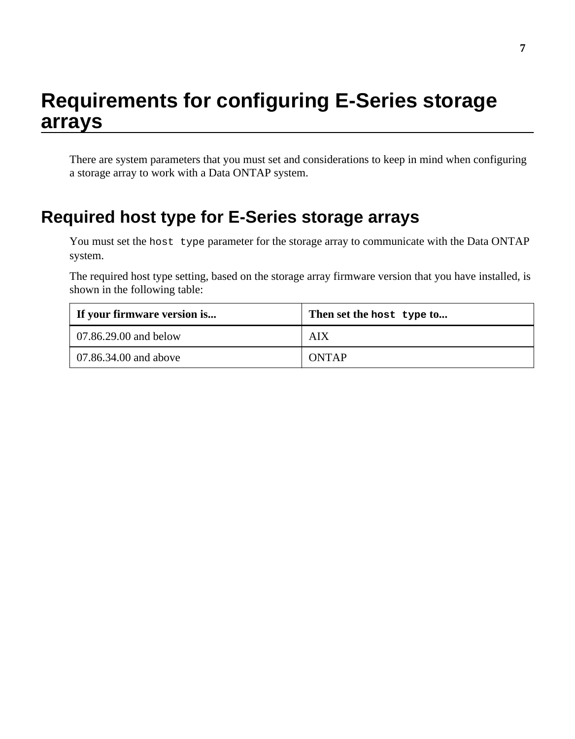# <span id="page-6-0"></span>**Requirements for configuring E-Series storage arrays**

There are system parameters that you must set and considerations to keep in mind when configuring a storage array to work with a Data ONTAP system.

## **Required host type for E-Series storage arrays**

You must set the host type parameter for the storage array to communicate with the Data ONTAP system.

The required host type setting, based on the storage array firmware version that you have installed, is shown in the following table:

| If your firmware version is | Then set the host type to |
|-----------------------------|---------------------------|
| $07.86.29.00$ and below     | AIX                       |
| $07.86.34.00$ and above     | <b>ONTAP</b>              |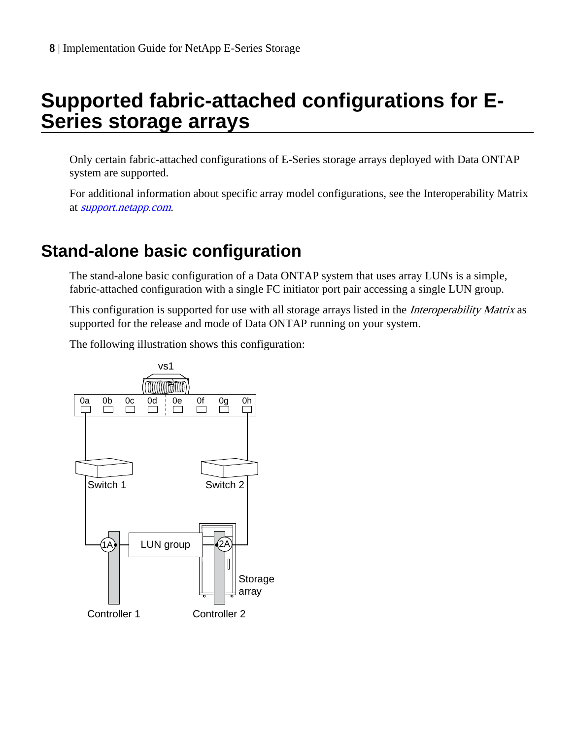# <span id="page-7-0"></span>**Supported fabric-attached configurations for E-Series storage arrays**

Only certain fabric-attached configurations of E-Series storage arrays deployed with Data ONTAP system are supported.

For additional information about specific array model configurations, see the Interoperability Matrix at [support.netapp.com](http://support.netapp.com).

## **Stand-alone basic configuration**

The stand-alone basic configuration of a Data ONTAP system that uses array LUNs is a simple, fabric-attached configuration with a single FC initiator port pair accessing a single LUN group.

This configuration is supported for use with all storage arrays listed in the *Interoperability Matrix* as supported for the release and mode of Data ONTAP running on your system.

The following illustration shows this configuration:

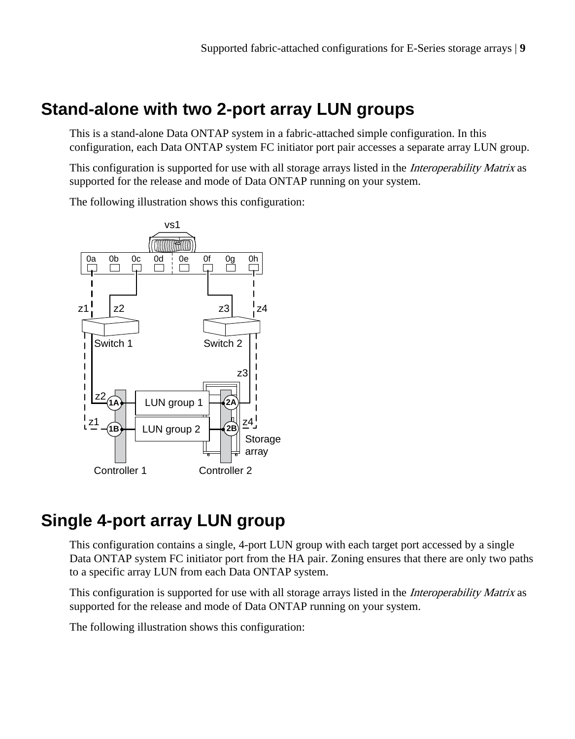## <span id="page-8-0"></span>**Stand-alone with two 2-port array LUN groups**

This is a stand-alone Data ONTAP system in a fabric-attached simple configuration. In this configuration, each Data ONTAP system FC initiator port pair accesses a separate array LUN group.

This configuration is supported for use with all storage arrays listed in the *Interoperability Matrix* as supported for the release and mode of Data ONTAP running on your system.

The following illustration shows this configuration:



## **Single 4-port array LUN group**

This configuration contains a single, 4-port LUN group with each target port accessed by a single Data ONTAP system FC initiator port from the HA pair. Zoning ensures that there are only two paths to a specific array LUN from each Data ONTAP system.

This configuration is supported for use with all storage arrays listed in the *Interoperability Matrix* as supported for the release and mode of Data ONTAP running on your system.

The following illustration shows this configuration: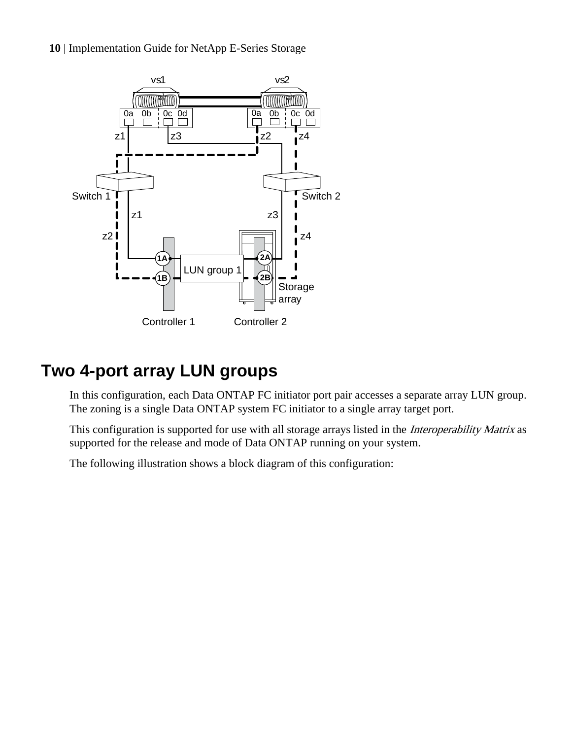<span id="page-9-0"></span>**10** | Implementation Guide for NetApp E-Series Storage



## **Two 4-port array LUN groups**

In this configuration, each Data ONTAP FC initiator port pair accesses a separate array LUN group. The zoning is a single Data ONTAP system FC initiator to a single array target port.

This configuration is supported for use with all storage arrays listed in the *Interoperability Matrix* as supported for the release and mode of Data ONTAP running on your system.

The following illustration shows a block diagram of this configuration: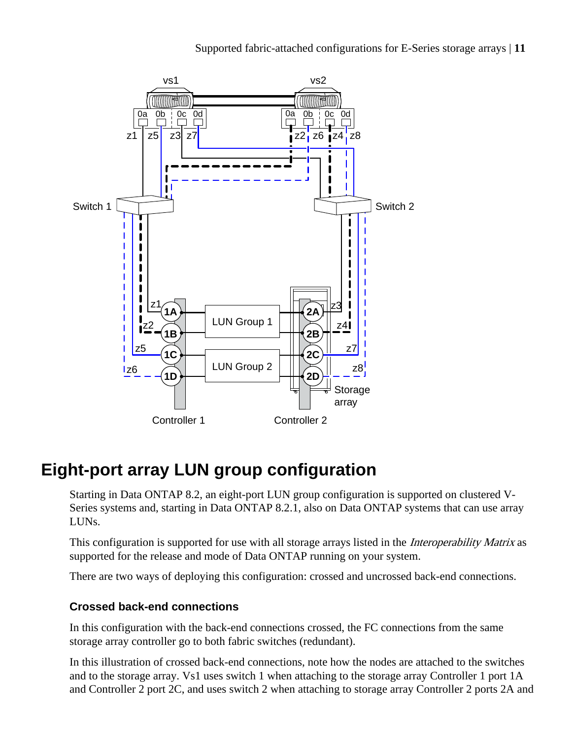<span id="page-10-0"></span>

## **Eight-port array LUN group configuration**

Starting in Data ONTAP 8.2, an eight-port LUN group configuration is supported on clustered V-Series systems and, starting in Data ONTAP 8.2.1, also on Data ONTAP systems that can use array LUNs.

This configuration is supported for use with all storage arrays listed in the *Interoperability Matrix* as supported for the release and mode of Data ONTAP running on your system.

There are two ways of deploying this configuration: crossed and uncrossed back-end connections.

#### **Crossed back-end connections**

In this configuration with the back-end connections crossed, the FC connections from the same storage array controller go to both fabric switches (redundant).

In this illustration of crossed back-end connections, note how the nodes are attached to the switches and to the storage array. Vs1 uses switch 1 when attaching to the storage array Controller 1 port 1A and Controller 2 port 2C, and uses switch 2 when attaching to storage array Controller 2 ports 2A and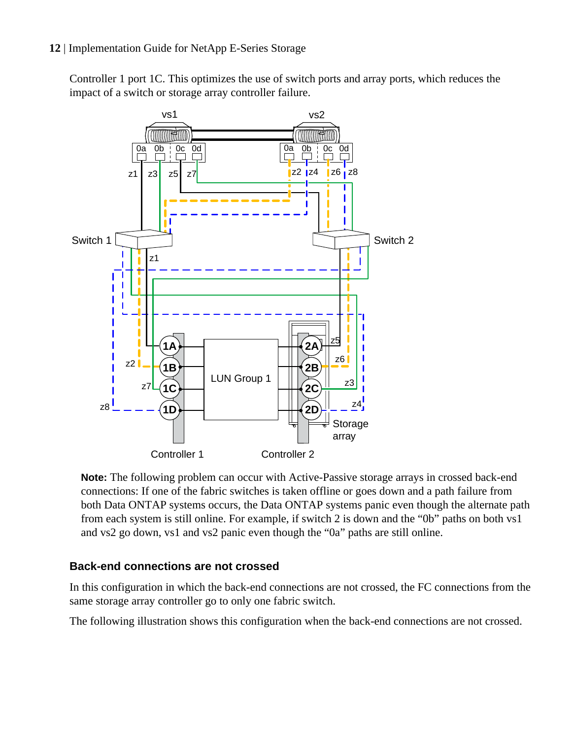Controller 1 port 1C. This optimizes the use of switch ports and array ports, which reduces the impact of a switch or storage array controller failure.



**Note:** The following problem can occur with Active-Passive storage arrays in crossed back-end connections: If one of the fabric switches is taken offline or goes down and a path failure from both Data ONTAP systems occurs, the Data ONTAP systems panic even though the alternate path from each system is still online. For example, if switch 2 is down and the "0b" paths on both vs1 and vs2 go down, vs1 and vs2 panic even though the "0a" paths are still online.

#### **Back-end connections are not crossed**

In this configuration in which the back-end connections are not crossed, the FC connections from the same storage array controller go to only one fabric switch.

The following illustration shows this configuration when the back-end connections are not crossed.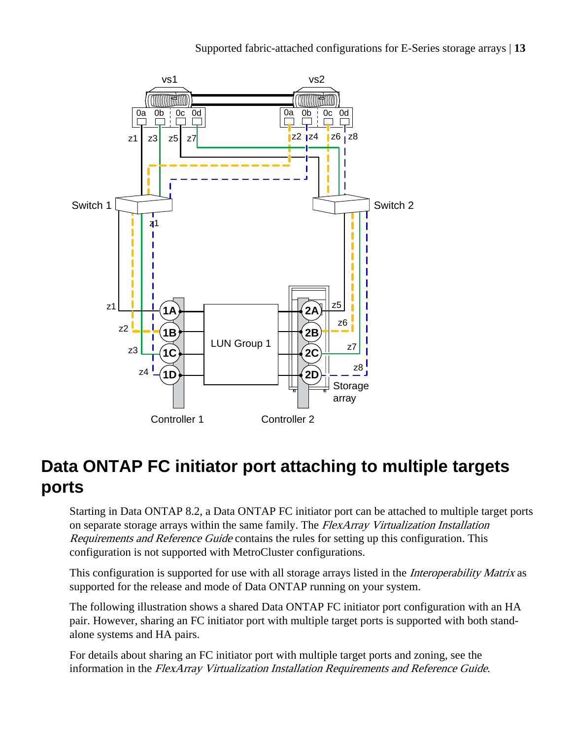Supported fabric-attached configurations for E-Series storage arrays | **13**

<span id="page-12-0"></span>

## **Data ONTAP FC initiator port attaching to multiple targets ports**

Starting in Data ONTAP 8.2, a Data ONTAP FC initiator port can be attached to multiple target ports on separate storage arrays within the same family. The FlexArray Virtualization Installation Requirements and Reference Guide contains the rules for setting up this configuration. This configuration is not supported with MetroCluster configurations.

This configuration is supported for use with all storage arrays listed in the *Interoperability Matrix* as supported for the release and mode of Data ONTAP running on your system.

The following illustration shows a shared Data ONTAP FC initiator port configuration with an HA pair. However, sharing an FC initiator port with multiple target ports is supported with both standalone systems and HA pairs.

For details about sharing an FC initiator port with multiple target ports and zoning, see the information in the FlexArray Virtualization Installation Requirements and Reference Guide.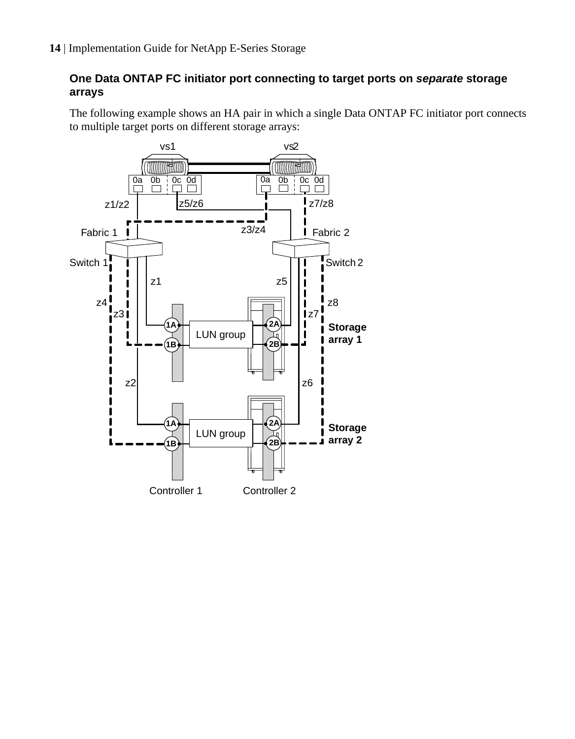#### **One Data ONTAP FC initiator port connecting to target ports on separate storage arrays**

The following example shows an HA pair in which a single Data ONTAP FC initiator port connects to multiple target ports on different storage arrays:

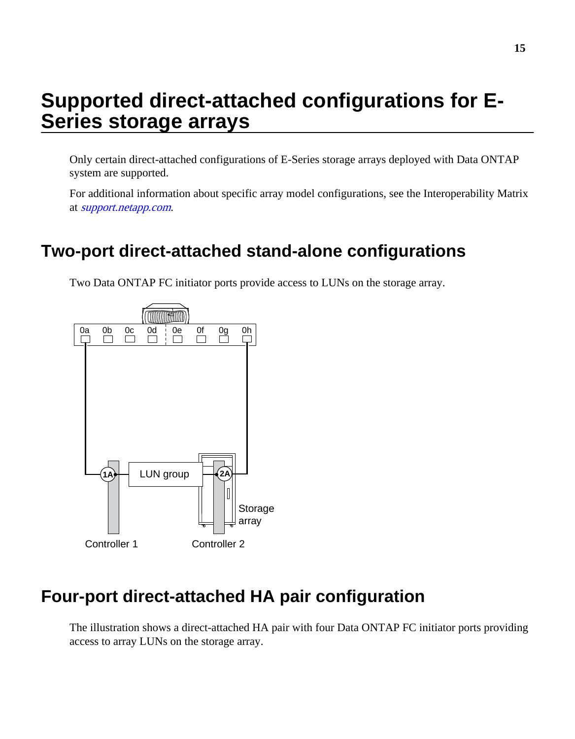# <span id="page-14-0"></span>**Supported direct-attached configurations for E-Series storage arrays**

Only certain direct-attached configurations of E-Series storage arrays deployed with Data ONTAP system are supported.

For additional information about specific array model configurations, see the Interoperability Matrix at [support.netapp.com](http://support.netapp.com).

## **Two-port direct-attached stand-alone configurations**

Two Data ONTAP FC initiator ports provide access to LUNs on the storage array.



## **Four-port direct-attached HA pair configuration**

The illustration shows a direct-attached HA pair with four Data ONTAP FC initiator ports providing access to array LUNs on the storage array.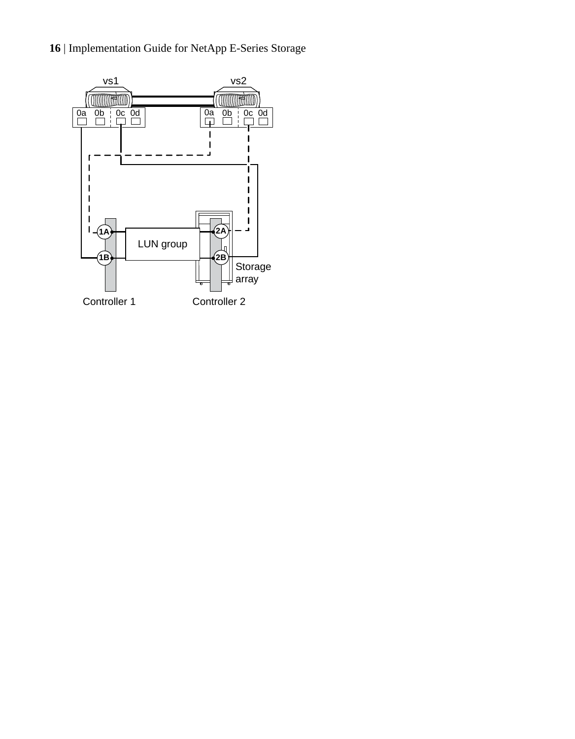#### **16** | Implementation Guide for NetApp E-Series Storage

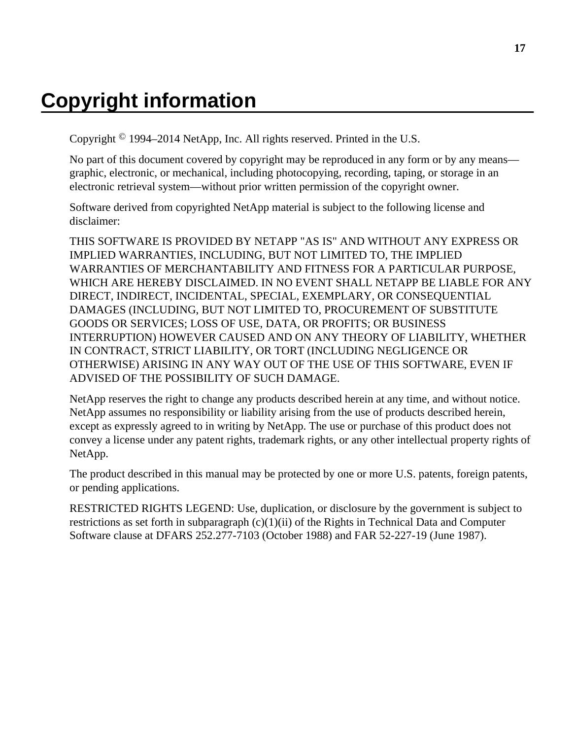# <span id="page-16-0"></span>**Copyright information**

Copyright © 1994–2014 NetApp, Inc. All rights reserved. Printed in the U.S.

No part of this document covered by copyright may be reproduced in any form or by any means graphic, electronic, or mechanical, including photocopying, recording, taping, or storage in an electronic retrieval system—without prior written permission of the copyright owner.

Software derived from copyrighted NetApp material is subject to the following license and disclaimer:

THIS SOFTWARE IS PROVIDED BY NETAPP "AS IS" AND WITHOUT ANY EXPRESS OR IMPLIED WARRANTIES, INCLUDING, BUT NOT LIMITED TO, THE IMPLIED WARRANTIES OF MERCHANTABILITY AND FITNESS FOR A PARTICULAR PURPOSE, WHICH ARE HEREBY DISCLAIMED. IN NO EVENT SHALL NETAPP BE LIABLE FOR ANY DIRECT, INDIRECT, INCIDENTAL, SPECIAL, EXEMPLARY, OR CONSEQUENTIAL DAMAGES (INCLUDING, BUT NOT LIMITED TO, PROCUREMENT OF SUBSTITUTE GOODS OR SERVICES; LOSS OF USE, DATA, OR PROFITS; OR BUSINESS INTERRUPTION) HOWEVER CAUSED AND ON ANY THEORY OF LIABILITY, WHETHER IN CONTRACT, STRICT LIABILITY, OR TORT (INCLUDING NEGLIGENCE OR OTHERWISE) ARISING IN ANY WAY OUT OF THE USE OF THIS SOFTWARE, EVEN IF ADVISED OF THE POSSIBILITY OF SUCH DAMAGE.

NetApp reserves the right to change any products described herein at any time, and without notice. NetApp assumes no responsibility or liability arising from the use of products described herein, except as expressly agreed to in writing by NetApp. The use or purchase of this product does not convey a license under any patent rights, trademark rights, or any other intellectual property rights of NetApp.

The product described in this manual may be protected by one or more U.S. patents, foreign patents, or pending applications.

RESTRICTED RIGHTS LEGEND: Use, duplication, or disclosure by the government is subject to restrictions as set forth in subparagraph  $(c)(1)(ii)$  of the Rights in Technical Data and Computer Software clause at DFARS 252.277-7103 (October 1988) and FAR 52-227-19 (June 1987).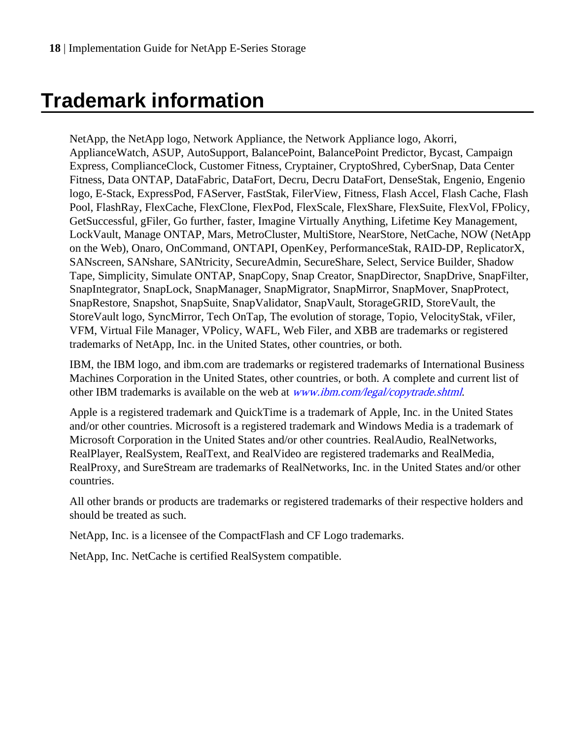# <span id="page-17-0"></span>**Trademark information**

NetApp, the NetApp logo, Network Appliance, the Network Appliance logo, Akorri, ApplianceWatch, ASUP, AutoSupport, BalancePoint, BalancePoint Predictor, Bycast, Campaign Express, ComplianceClock, Customer Fitness, Cryptainer, CryptoShred, CyberSnap, Data Center Fitness, Data ONTAP, DataFabric, DataFort, Decru, Decru DataFort, DenseStak, Engenio, Engenio logo, E-Stack, ExpressPod, FAServer, FastStak, FilerView, Fitness, Flash Accel, Flash Cache, Flash Pool, FlashRay, FlexCache, FlexClone, FlexPod, FlexScale, FlexShare, FlexSuite, FlexVol, FPolicy, GetSuccessful, gFiler, Go further, faster, Imagine Virtually Anything, Lifetime Key Management, LockVault, Manage ONTAP, Mars, MetroCluster, MultiStore, NearStore, NetCache, NOW (NetApp on the Web), Onaro, OnCommand, ONTAPI, OpenKey, PerformanceStak, RAID-DP, ReplicatorX, SANscreen, SANshare, SANtricity, SecureAdmin, SecureShare, Select, Service Builder, Shadow Tape, Simplicity, Simulate ONTAP, SnapCopy, Snap Creator, SnapDirector, SnapDrive, SnapFilter, SnapIntegrator, SnapLock, SnapManager, SnapMigrator, SnapMirror, SnapMover, SnapProtect, SnapRestore, Snapshot, SnapSuite, SnapValidator, SnapVault, StorageGRID, StoreVault, the StoreVault logo, SyncMirror, Tech OnTap, The evolution of storage, Topio, VelocityStak, vFiler, VFM, Virtual File Manager, VPolicy, WAFL, Web Filer, and XBB are trademarks or registered trademarks of NetApp, Inc. in the United States, other countries, or both.

IBM, the IBM logo, and ibm.com are trademarks or registered trademarks of International Business Machines Corporation in the United States, other countries, or both. A complete and current list of other IBM trademarks is available on the web at [www.ibm.com/legal/copytrade.shtml](http://www.ibm.com/legal/copytrade.shtml).

Apple is a registered trademark and QuickTime is a trademark of Apple, Inc. in the United States and/or other countries. Microsoft is a registered trademark and Windows Media is a trademark of Microsoft Corporation in the United States and/or other countries. RealAudio, RealNetworks, RealPlayer, RealSystem, RealText, and RealVideo are registered trademarks and RealMedia, RealProxy, and SureStream are trademarks of RealNetworks, Inc. in the United States and/or other countries.

All other brands or products are trademarks or registered trademarks of their respective holders and should be treated as such.

NetApp, Inc. is a licensee of the CompactFlash and CF Logo trademarks.

NetApp, Inc. NetCache is certified RealSystem compatible.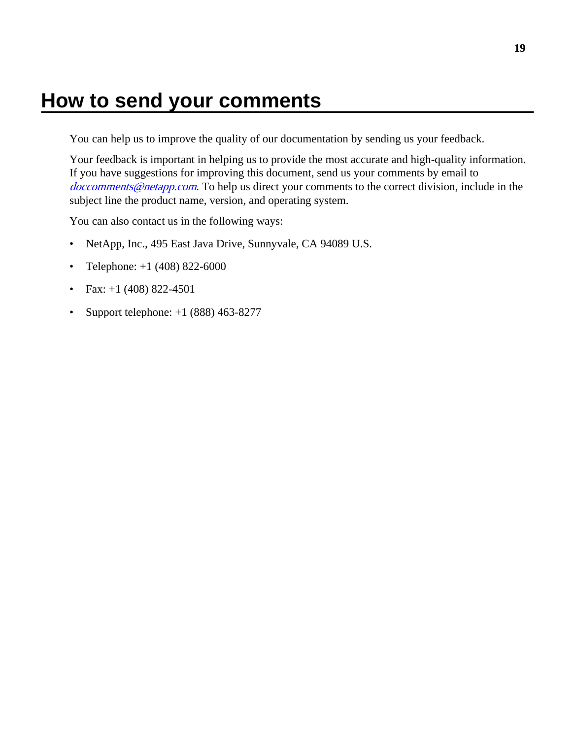## <span id="page-18-0"></span>**How to send your comments**

You can help us to improve the quality of our documentation by sending us your feedback.

Your feedback is important in helping us to provide the most accurate and high-quality information. If you have suggestions for improving this document, send us your comments by email to [doccomments@netapp.com](mailto:doccomments@netapp.com). To help us direct your comments to the correct division, include in the subject line the product name, version, and operating system.

You can also contact us in the following ways:

- NetApp, Inc., 495 East Java Drive, Sunnyvale, CA 94089 U.S.
- Telephone:  $+1$  (408) 822-6000
- Fax:  $+1$  (408) 822-4501
- Support telephone:  $+1$  (888) 463-8277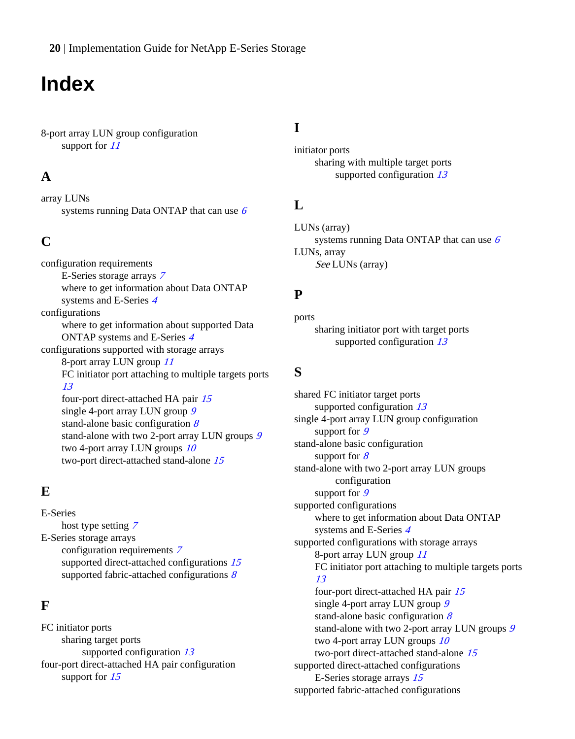<span id="page-19-0"></span>**20** | Implementation Guide for NetApp E-Series Storage

## **Index**

8-port array LUN group configuration support for  $11$ 

### **A**

array LUNs systems running Data ONTAP that can use  $6$ 

### **C**

configuration requirements E-Series storage arrays [7](#page-6-0) where to get information about Data ONTAP systems and E-Series [4](#page-3-0) configurations where to get information about supported Data ONTAP systems and E-Series [4](#page-3-0) configurations supported with storage arrays 8-port array LUN group [11](#page-10-0) FC initiator port attaching to multiple targets ports [13](#page-12-0) four-port direct-attached HA pair [15](#page-14-0) single 4-port array LUN group [9](#page-8-0) stand-alone basic configuration  $\delta$ stand-alone with two 2-port array LUN groups [9](#page-8-0) two 4-port array LUN groups  $10$ two-port direct-attached stand-alone [15](#page-14-0)

### **E**

E-Series host type setting [7](#page-6-0) E-Series storage arrays configuration requirements [7](#page-6-0) supported direct-attached configurations [15](#page-14-0) supported fabric-attached configurations  $8$ 

### **F**

FC initiator ports sharing target ports supported configuration [13](#page-12-0) four-port direct-attached HA pair configuration support for  $15$ 

### **I**

initiator ports sharing with multiple target ports supported configuration [13](#page-12-0)

### **L**

LUNs (array) systems running Data ONTAP that can use  $6$ LUNs, array See LUNs (array)

#### **P**

ports sharing initiator port with target ports supported configuration [13](#page-12-0)

#### **S**

shared FC initiator target ports supported configuration [13](#page-12-0) single 4-port array LUN group configuration support for [9](#page-8-0) stand-alone basic configuration support for  $8$ stand-alone with two 2-port array LUN groups configuration support for [9](#page-8-0) supported configurations where to get information about Data ONTAP systems and E-Series [4](#page-3-0) supported configurations with storage arrays 8-port array LUN group [11](#page-10-0) FC initiator port attaching to multiple targets ports [13](#page-12-0) four-port direct-attached HA pair [15](#page-14-0) single 4-port array LUN group [9](#page-8-0) stand-alone basic configuration  $8$ stand-alone with two 2-port array LUN groups [9](#page-8-0) two 4-port array LUN groups  $10$ two-port direct-attached stand-alone [15](#page-14-0) supported direct-attached configurations E-Series storage arrays [15](#page-14-0) supported fabric-attached configurations